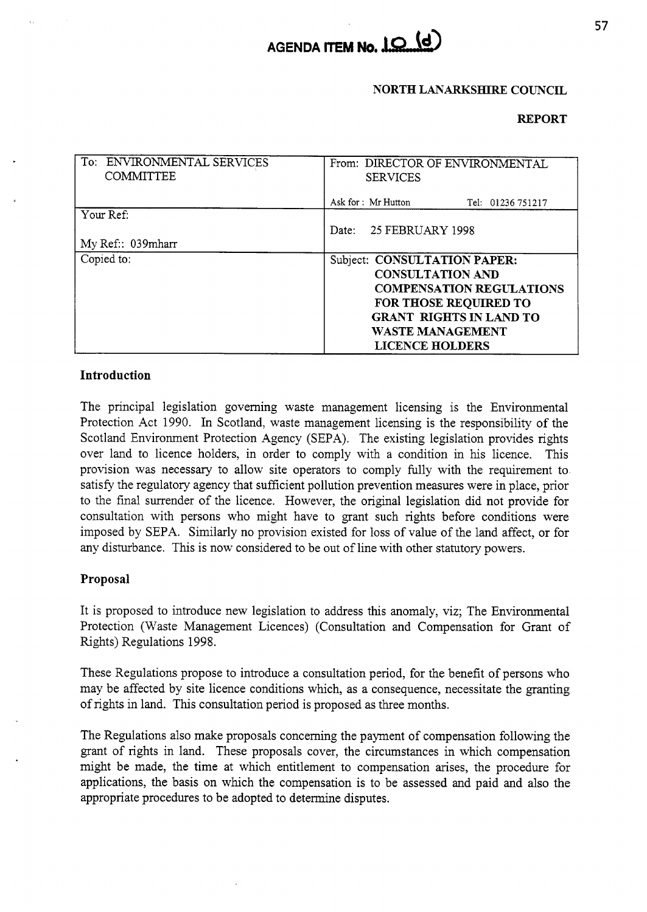

### **NORTH LANARKSETIRE COUNCIL**

### **REPORT**

| To: ENVIRONMENTAL SERVICES<br><b>COMMITTEE</b> | From: DIRECTOR OF ENVIRONMENTAL<br><b>SERVICES</b>                                                                                                                               |
|------------------------------------------------|----------------------------------------------------------------------------------------------------------------------------------------------------------------------------------|
|                                                | Ask for : Mr Hutton<br>Tel: 01236 751217                                                                                                                                         |
| Your Ref:                                      | 25 FEBRUARY 1998<br>Date:                                                                                                                                                        |
| My Ref:: 039mharr                              |                                                                                                                                                                                  |
| Copied to:                                     | Subject: CONSULTATION PAPER:<br><b>CONSULTATION AND</b><br><b>COMPENSATION REGULATIONS</b><br>FOR THOSE REQUIRED TO<br><b>GRANT RIGHTS IN LAND TO</b><br><b>WASTE MANAGEMENT</b> |
|                                                | <b>LICENCE HOLDERS</b>                                                                                                                                                           |

## **Introduction**

The principal legislation governing waste management licensing is the Environmental Protection Act 1990. In Scotland, waste management licensing is the responsibility of the Scotland Environment Protection Agency (SEPA). The existing legislation provides rights over land to licence holders, in order to comply with a condition in his licence. This provision was necessary to allow site operators to comply fully with the requirement to satisfy the regulatory agency that sufficient pollution prevention measures were in place, prior to the final surrender of the licence. However, the original legislation did not provide for consultation with persons who might have to grant such rights before conditions were imposed by SEPA. Similarly no provision existed for loss of value of the land affect, or for any disturbance. This is now considered to be out of line with other statutory powers.

### **Proposal**

It is proposed to introduce new legislation to address ths anomaly, viz; The Environmental Protection (Waste Management Licences) (Consultation and Compensation for Grant of Rights) Regulations 1998.

These Regulations propose to introduce a consultation period, for the benefit of persons who may be affected by site licence conditions which, as a consequence, necessitate the granting of rights in land. This consultation period is proposed as three months.

The Regulations also make proposals concerning the payment of compensation following the grant of rights in land. These proposals cover, the circumstances in which compensation might be made, the time at which entitlement to compensation arises, the procedure for applications, the basis on whch the compensation is to be assessed and paid and also the appropriate procedures to be adopted to determine disputes.